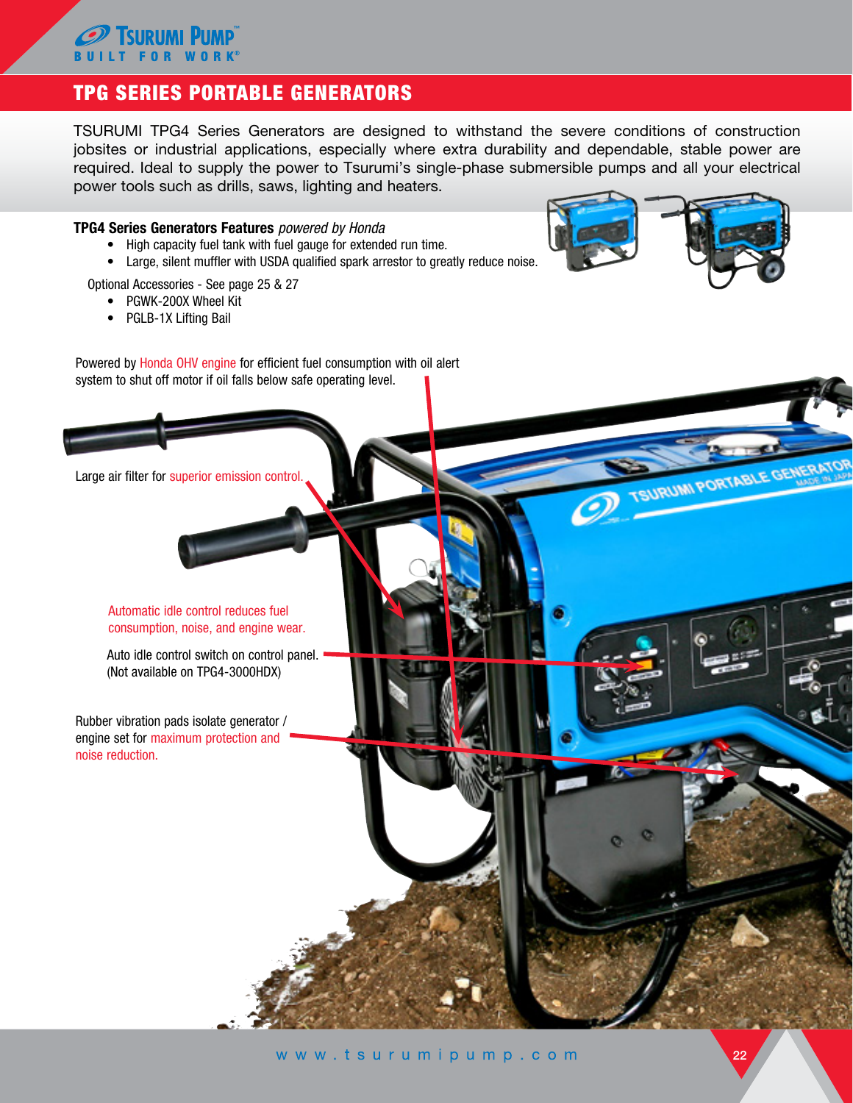## **FOR WORK®** TPG SERIES PORTABLE GENERATORS

Tsiiriimi Piimp

TSURUMI TPG4 Series Generators are designed to withstand the severe conditions of construction jobsites or industrial applications, especially where extra durability and dependable, stable power are required. Ideal to supply the power to Tsurumi's single-phase submersible pumps and all your electrical power tools such as drills, saws, lighting and heaters.

## TPG4 Series Generators Features *powered by Honda*

- High capacity fuel tank with fuel gauge for extended run time.
- Large, silent muffler with USDA qualified spark arrestor to greatly reduce noise.

Optional Accessories - See page 25 & 27

- PGWK-200X Wheel Kit
- PGLB-1X Lifting Bail

URUMI PORTABLE GENERA

Powered by Honda OHV engine for efficient fuel consumption with oil alert system to shut off motor if oil falls below safe operating level.

Large air filter for superior emission control.

Automatic idle control reduces fuel consumption, noise, and engine wear.

Auto idle control switch on control panel. (Not available on TPG4-3000HDX)

Rubber vibration pads isolate generator / engine set for maximum protection and noise reduction.